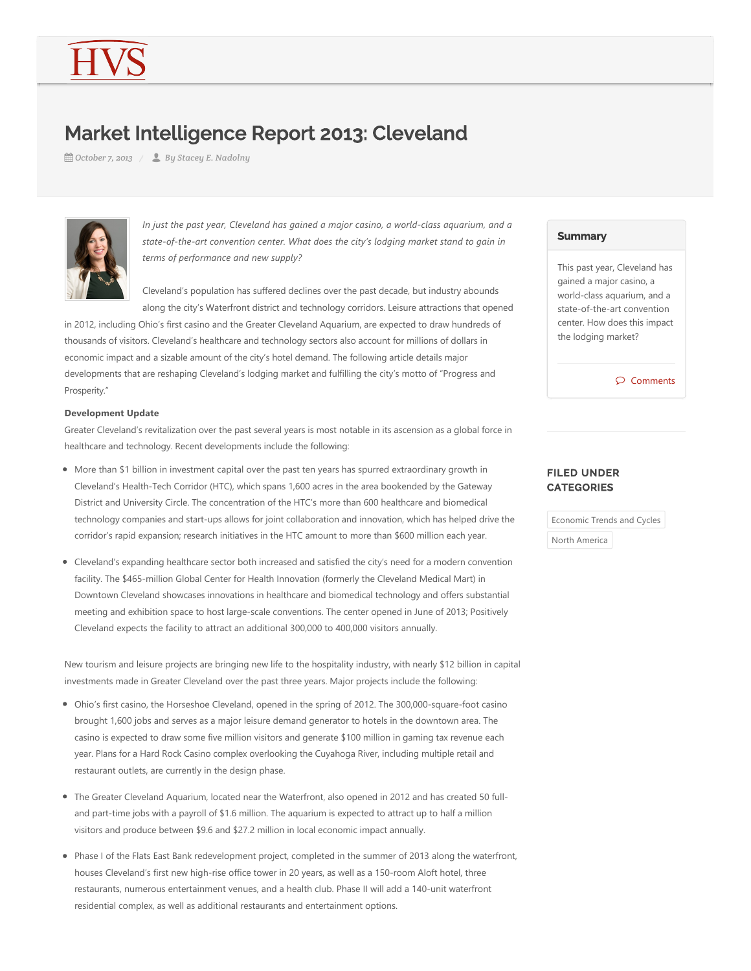# Market Intelligence Report 2013: Cleveland

*October 7, 2013 By Stacey E. Nadolny*



*In just the past year, Cleveland has gained a major casino, a world‐class aquarium, and a state‐of‐the‐art convention center. What does the city's lodging market stand to gain in terms of performance and new supply?* 

Cleveland's population has suffered declines over the past decade, but industry abounds along the city's Waterfront district and technology corridors. Leisure attractions that opened

in 2012, including Ohio's first casino and the Greater Cleveland Aquarium, are expected to draw hundreds of thousands of visitors. Cleveland's healthcare and technology sectors also account for millions of dollars in economic impact and a sizable amount of the city's hotel demand. The following article details major developments that are reshaping Cleveland's lodging market and fulfilling the city's motto of "Progress and Prosperity."

#### **Development Update**

Greater Cleveland's revitalization over the past several years is most notable in its ascension as a global force in healthcare and technology. Recent developments include the following:

- More than \$1 billion in investment capital over the past ten years has spurred extraordinary growth in Cleveland's Health-Tech Corridor (HTC), which spans 1,600 acres in the area bookended by the Gateway District and University Circle. The concentration of the HTC's more than 600 healthcare and biomedical technology companies and start-ups allows for joint collaboration and innovation, which has helped drive the corridor's rapid expansion; research initiatives in the HTC amount to more than \$600 million each year.
- Cleveland's expanding healthcare sector both increased and satisfied the city's need for a modern convention facility. The \$465-million Global Center for Health Innovation (formerly the Cleveland Medical Mart) in Downtown Cleveland showcases innovations in healthcare and biomedical technology and offers substantial meeting and exhibition space to host large-scale conventions. The center opened in June of 2013; Positively Cleveland expects the facility to attract an additional 300,000 to 400,000 visitors annually.

New tourism and leisure projects are bringing new life to the hospitality industry, with nearly \$12 billion in capital investments made in Greater Cleveland over the past three years. Major projects include the following:

- Ohio's first casino, the Horseshoe Cleveland, opened in the spring of 2012. The 300,000-square-foot casino brought 1,600 jobs and serves as a major leisure demand generator to hotels in the downtown area. The casino is expected to draw some five million visitors and generate \$100 million in gaming tax revenue each year. Plans for a Hard Rock Casino complex overlooking the Cuyahoga River, including multiple retail and restaurant outlets, are currently in the design phase.
- The Greater Cleveland Aquarium, located near the Waterfront, also opened in 2012 and has created 50 fulland part-time jobs with a payroll of \$1.6 million. The aquarium is expected to attract up to half a million visitors and produce between \$9.6 and \$27.2 million in local economic impact annually.
- Phase I of the Flats East Bank redevelopment project, completed in the summer of 2013 along the waterfront, houses Cleveland's first new high-rise office tower in 20 years, as well as a 150-room Aloft hotel, three restaurants, numerous entertainment venues, and a health club. Phase II will add a 140‐unit waterfront residential complex, as well as additional restaurants and entertainment options.

#### **Summary**

This past year, Cleveland has gained a major casino, a world‐class aquarium, and a state‐of‐the‐art convention center. How does this impact the lodging market?

Comments

# FILED UNDER **CATEGORIES**

Economic Trends and Cycles

North America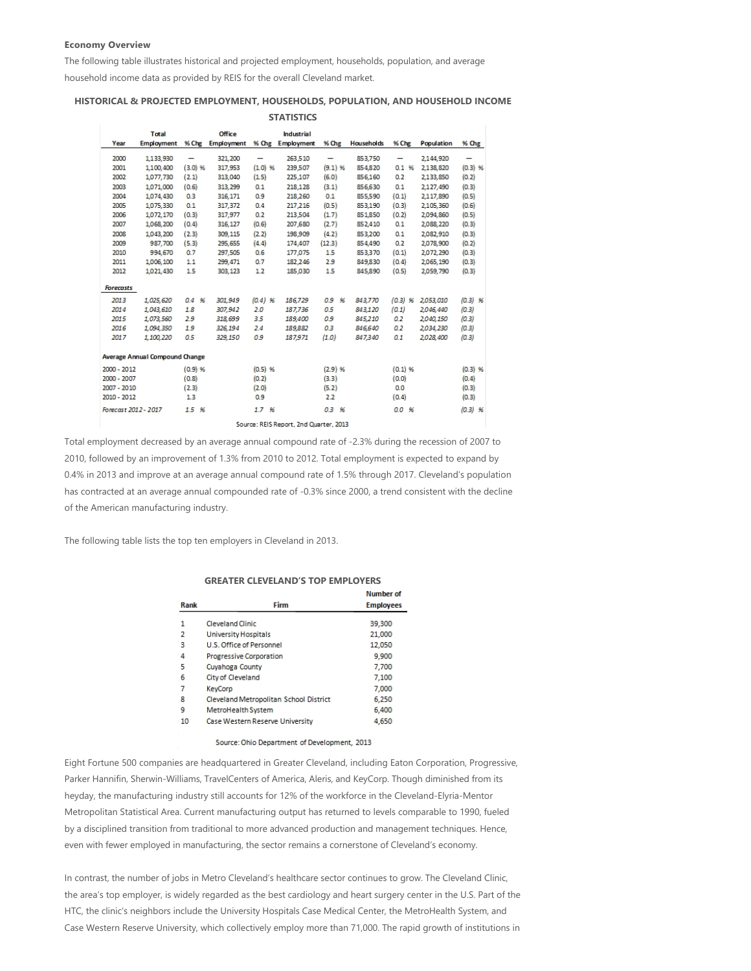#### **Economy Overview**

The following table illustrates historical and projected employment, households, population, and average

household income data as provided by REIS for the overall Cleveland market.

### **HISTORICAL & PROJECTED EMPLOYMENT, HOUSEHOLDS, POPULATION, AND HOUSEHOLD INCOME STATISTICS**

|                      | Office<br>Total<br>Industrial  |           |                   |           |                                        |           |                   |           |            |           |
|----------------------|--------------------------------|-----------|-------------------|-----------|----------------------------------------|-----------|-------------------|-----------|------------|-----------|
| Year                 | <b>Employment</b>              | $%$ Chg   | <b>Employment</b> |           | % Chg Employment                       | % Chg     | <b>Households</b> | % Che     | Population | % Chg     |
|                      |                                |           |                   |           |                                        |           |                   |           |            |           |
| 2000                 | 1,133,930                      | -         | 321,200           | -         | 263,510                                | -         | 853,750           | -         | 2,144,920  |           |
| 2001                 | 1.100.400                      | $(3.0)$ % | 317,953           | (1.0)%    | 239,507                                | $(9.1)$ % | 854.820           | 0.1%      | 2,138,820  | $(0.3)$ % |
| 2002                 | 1,077,730                      | (2.1)     | 313,040           | (1.5)     | 225,107                                | (6.0)     | 856,160           | 0.2       | 2,133,850  | (0.2)     |
| 2003                 | 1,071,000                      | (0.6)     | 313.299           | 0.1       | 218,128                                | (3.1)     | 856,630           | 0.1       | 2,127,490  | (0.3)     |
| 2004                 | 1,074,430                      | 0.3       | 316, 171          | 0.9       | 218,260                                | 0.1       | 855,590           | (0.1)     | 2,117,890  | (0.5)     |
| 2005                 | 1,075,330                      | 0.1       | 317,372           | 0.4       | 217,216                                | (0.5)     | 853,190           | (0.3)     | 2,105,360  | (0.6)     |
| 2006                 | 1,072,170                      | (0.3)     | 317,977           | 0.2       | 213,504                                | (1.7)     | 851,850           | (0.2)     | 2,094,860  | (0.5)     |
| 2007                 | 1,068,200                      | (0.4)     | 316, 127          | (0.6)     | 207,680                                | (2.7)     | 852,410           | 0.1       | 2,088,220  | (0.3)     |
| 2008                 | 1,043,200                      | (2.3)     | 309,115           | (2.2)     | 198,909                                | (4.2)     | 853,200           | 0.1       | 2,082,910  | (0.3)     |
| 2009                 | 987,700                        | (5.3)     | 295,655           | (4.4)     | 174,407                                | (12.3)    | 854,490           | 0.2       | 2,078,900  | (0.2)     |
| 2010                 | 994,670                        | 0.7       | 297,505           | 0.6       | 177,075                                | 1.5       | 853,370           | (0.1)     | 2,072,290  | (0.3)     |
| 2011                 | 1,006,100                      | 1.1       | 299,471           | 0.7       | 182,246                                | 2.9       | 849,830           | (0.4)     | 2,065,190  | (0.3)     |
| 2012                 | 1,021,430                      | 1.5       | 303,123           | 1.2       | 185,030                                | 1.5       | 845,890           | (0.5)     | 2,059,790  | (0.3)     |
| <b>Forecasts</b>     |                                |           |                   |           |                                        |           |                   |           |            |           |
| 2013                 | 1,025,620                      | 0.4%      | 301,949           | $(0.4)$ % | 186,729                                | 0.9%      | 843,770           | $(0.3)$ % | 2,053,010  | $(0.3)$ % |
| 2014                 | 1,043,610                      | 18        | 307,942           | 2.0       | 187,736                                | 0.5       | 843,120           | (0.1)     | 2,046,440  | (0.3)     |
| 2015                 | 1,073,560                      | 29        | 318,699           | 3.5       | 189,400                                | 0.9       | 845,210           | 0.2       | 2,040,150  | (0.3)     |
| 2016                 | 1,094,350                      | 19        | 326,194           | 2.4       | 189,882                                | 0.3       | 846,640           | 0.2       | 2,034,230  | (0.3)     |
| 2017                 | 1,100,220                      | 0.5       | 329,150           | 0.9       | 187,971                                | (1.0)     | 847340            | 0.1       | 2,028,400  | (0.3)     |
|                      | Average Annual Compound Change |           |                   |           |                                        |           |                   |           |            |           |
| 2000 - 2012          |                                | (0.9)%    |                   | $(0.5)$ % |                                        | (2.9) %   |                   | (0.1)%    |            | $(0.3)$ % |
| 2000 - 2007          |                                | (0.8)     |                   | (0.2)     |                                        | (3.3)     |                   | (0.0)     |            | (0.4)     |
| 2007 - 2010          |                                | (2.3)     |                   | (2.0)     |                                        | (5.2)     |                   | 0.0       |            | (0.3)     |
| 2010 - 2012          |                                | 1.3       |                   | 0.9       |                                        | 2.2       |                   | (0.4)     |            | (0.3)     |
| Forecast 2012 - 2017 |                                | 15%       |                   | 1.7%      |                                        | 0.3%      |                   | 0.0%      |            | $(0.3)$ % |
|                      |                                |           |                   |           | Source: REIS Report, 2nd Quarter, 2013 |           |                   |           |            |           |

Total employment decreased by an average annual compound rate of ‐2.3% during the recession of 2007 to 2010, followed by an improvement of 1.3% from 2010 to 2012. Total employment is expected to expand by 0.4% in 2013 and improve at an average annual compound rate of 1.5% through 2017. Cleveland's population has contracted at an average annual compounded rate of ‐0.3% since 2000, a trend consistent with the decline of the American manufacturing industry.

The following table lists the top ten employers in Cleveland in 2013.

#### **GREATER CLEVELAND'S TOP EMPLOYERS**

|                |                                        | Number of        |
|----------------|----------------------------------------|------------------|
| Rank           | Firm                                   | <b>Employees</b> |
| 1              | Cleveland Clinic                       | 39,300           |
| $\overline{2}$ | University Hospitals                   | 21,000           |
| 3              | U.S. Office of Personnel               | 12,050           |
| 4              | Progressive Corporation                | 9.900            |
| -5             | Cuvahoga County                        | 7.700            |
| 6              | City of Cleveland                      | 7.100            |
| 7              | KeyCorp                                | 7,000            |
| 8              | Cleveland Metropolitan School District | 6,250            |
| 9              | MetroHealth System                     | 6,400            |
| 10             | Case Western Reserve University        | 4.650            |
|                |                                        |                  |

Source: Ohio Department of Development, 2013

Eight Fortune 500 companies are headquartered in Greater Cleveland, including Eaton Corporation, Progressive, Parker Hannifin, Sherwin‐Williams, TravelCenters of America, Aleris, and KeyCorp. Though diminished from its heyday, the manufacturing industry still accounts for 12% of the workforce in the Cleveland‐Elyria‐Mentor Metropolitan Statistical Area. Current manufacturing output has returned to levels comparable to 1990, fueled by a disciplined transition from traditional to more advanced production and management techniques. Hence, even with fewer employed in manufacturing, the sector remains a cornerstone of Cleveland's economy.

In contrast, the number of jobs in Metro Cleveland's healthcare sector continues to grow. The Cleveland Clinic, the area's top employer, is widely regarded as the best cardiology and heart surgery center in the U.S. Part of the HTC, the clinic's neighbors include the University Hospitals Case Medical Center, the MetroHealth System, and Case Western Reserve University, which collectively employ more than 71,000. The rapid growth of institutions in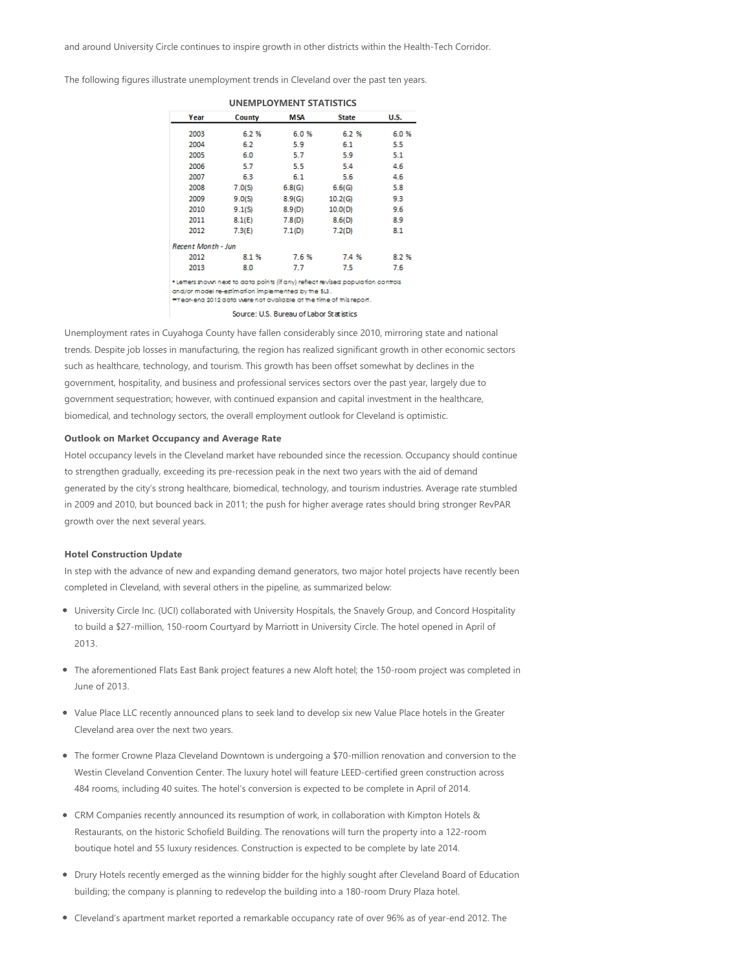The following figures illustrate unemployment trends in Cleveland over the past ten years.

| Year               | County | MSA    | <b>State</b> | U.S. |  |  |  |  |
|--------------------|--------|--------|--------------|------|--|--|--|--|
| 2003               | 6.2%   | 6.0%   | 6.2%         | 6.0% |  |  |  |  |
| 2004               | 6.2    | 5.9    | 6.1          | 5.5  |  |  |  |  |
| 2005               | 6.0    | 5.7    | 5.9          | 5.1  |  |  |  |  |
| 2006               | 5.7    | 5.5    | 5.4          | 4.6  |  |  |  |  |
| 2007               | 6.3    | 6.1    | 5.6          | 4.6  |  |  |  |  |
| 2008               | 7.0(S) | 6.8(G) | 6.6(G)       | 5.8  |  |  |  |  |
| 2009               | 9.0(S) | 8.9(G) | 10.2(G)      | 9.3  |  |  |  |  |
| 2010               | 9.1(S) | 8.9(D) | 10.0(D)      | 9.6  |  |  |  |  |
| 2011               | 8.1(E) | 7.8(D) | 8.6(D)       | 8.9  |  |  |  |  |
| 2012               | 7.3(E) | 7.1(D) | 7.2(D)       | 8.1  |  |  |  |  |
| Recent Month - Jun |        |        |              |      |  |  |  |  |
| 2012               | 8.1%   | 7.6%   | 7.4 %        | 8.2% |  |  |  |  |
| 2013               | 8.0    | 7.7    | 7.5          | 7.6  |  |  |  |  |

and/or model re-estimation implemented by the BLS. \*Year-end 2012 data were not available at the time of this report

Source: U.S. Bureau of Labor Statistics

Unemployment rates in Cuyahoga County have fallen considerably since 2010, mirroring state and national trends. Despite job losses in manufacturing, the region has realized significant growth in other economic sectors such as healthcare, technology, and tourism. This growth has been offset somewhat by declines in the government, hospitality, and business and professional services sectors over the past year, largely due to government sequestration; however, with continued expansion and capital investment in the healthcare, biomedical, and technology sectors, the overall employment outlook for Cleveland is optimistic.

#### **Outlook on Market Occupancy and Average Rate**

Hotel occupancy levels in the Cleveland market have rebounded since the recession. Occupancy should continue to strengthen gradually, exceeding its pre-recession peak in the next two years with the aid of demand generated by the city's strong healthcare, biomedical, technology, and tourism industries. Average rate stumbled in 2009 and 2010, but bounced back in 2011; the push for higher average rates should bring stronger RevPAR growth over the next several years.

#### **Hotel Construction Update**

In step with the advance of new and expanding demand generators, two major hotel projects have recently been completed in Cleveland, with several others in the pipeline, as summarized below:

- University Circle Inc. (UCI) collaborated with University Hospitals, the Snavely Group, and Concord Hospitality to build a \$27‐million, 150‐room Courtyard by Marriott in University Circle. The hotel opened in April of 2013.
- The aforementioned Flats East Bank project features a new Aloft hotel; the 150‐room project was completed in June of 2013.
- Value Place LLC recently announced plans to seek land to develop six new Value Place hotels in the Greater Cleveland area over the next two years.
- The former Crowne Plaza Cleveland Downtown is undergoing a \$70‐million renovation and conversion to the Westin Cleveland Convention Center. The luxury hotel will feature LEED‐certified green construction across 484 rooms, including 40 suites. The hotel's conversion is expected to be complete in April of 2014.
- CRM Companies recently announced its resumption of work, in collaboration with Kimpton Hotels & Restaurants, on the historic Schofield Building. The renovations will turn the property into a 122‐room boutique hotel and 55 luxury residences. Construction is expected to be complete by late 2014.
- Drury Hotels recently emerged as the winning bidder for the highly sought after Cleveland Board of Education building; the company is planning to redevelop the building into a 180‐room Drury Plaza hotel.
- Cleveland's apartment market reported a remarkable occupancy rate of over 96% as of year‐end 2012. The